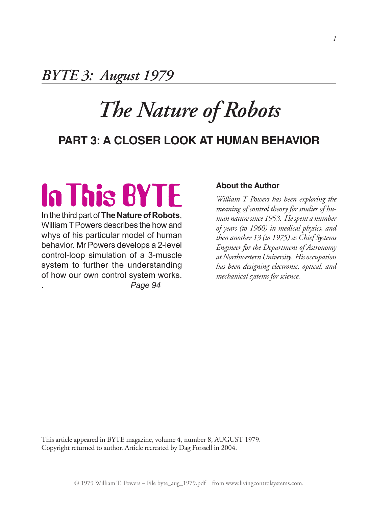*BYTE 3: August 1979*

## *The Nature of Robots*

### **Part 3: A Closer Look at Human Behavior**

# **In This BYTE**

In the third part of **The Nature of Robots**, William T Powers describes the how and whys of his particular model of human behavior. Mr Powers develops a 2-level control-loop simulation of a 3-muscle system to further the understanding of how our own control system works. . *Page 94*

#### **About the Author**

*William T Powers has been exploring the meaning of control theory for studies of human naturesince 1953. Hespent a number of years (to 1960) in medical physics, and then another 13 (to 1975) as Chief Systems Engineer for the Department of Astronomy at Northwestern University. His occupation has been designing electronic, optical, and mechanical systems for science.*

This article appeared in BYTE magazine, volume 4, number 8, AUGUST 1979. Copyright returned to author. Article recreated by Dag Forssell in 2004.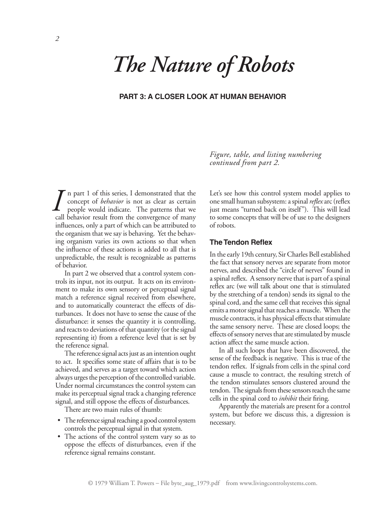## *The Nature of Robots*

#### **Part 3: A Closer Look at Human Behavior**

n part 1 of this series, I demonstrated that the concept of *behavior* is not as clear as certain people would indicate. The patterns that we call behavior result from the convergence of many influences, only a part of which can be attributed to the organism that we say is behaving. Yet the behaving organism varies its own actions so that when the influence of these actions is added to all that is unpredictable, the result is recognizable as patterns of behavior. *I*

In part 2 we observed that a control system controls its input, not its output. It acts on its environment to make its own sensory or perceptual signal match a reference signal received from elsewhere, and to automatically counteract the effects of disturbances. It does not have to sense the cause of the disturbance: it senses the quantity it is controlling, and reacts to deviations of that quantity (or the signal representing it) from a reference level that is set by the reference signal.

The reference signal acts just as an intention ought to act. It specifies some state of affairs that is to be achieved, and serves as a target toward which action always urges the perception of the controlled variable. Under normal circumstances the control system can make its perceptual signal track a changing reference signal, and still oppose the effects of disturbances.

There are two main rules of thumb:

- The reference signal reaching a good control system controls the perceptual signal in that system.
- The actions of the control system vary so as to oppose the effects of disturbances, even if the reference signal remains constant.

*Figure, table, and listing numbering continued from part 2.*

Let's see how this control system model applies to one small human subsystem: a spinal *reflex* arc (reflex just means "turned back on itself"). This will lead to some concepts that will be of use to the designers of robots.

#### **The Tendon Reflex**

In the early 19th century, Sir Charles Bell established the fact that sensory nerves are separate from motor nerves, and described the "circle of nerves" found in a spinal reflex. A sensory nerve that is part of a spinal reflex arc (we will talk about one that is stimulated by the stretching of a tendon) sends its signal to the spinal cord, and the same cell that receives this signal emits a motor signal that reaches a muscle. When the muscle contracts, it has physical effects that stimulate the same sensory nerve. These are closed loops; the effects of sensory nerves that are stimulated by muscle action affect the same muscle action.

In all such loops that have been discovered, the sense of the feedback is negative. This is true of the tendon reflex. If signals from cells in the spinal cord cause a muscle to contract, the resulting stretch of the tendon stimulates sensors clustered around the tendon. The signals from these sensors reach the same cells in the spinal cord to *inhibit* their firing.

Apparently the materials are present for a control system, but before we discuss this, a digression is necessary.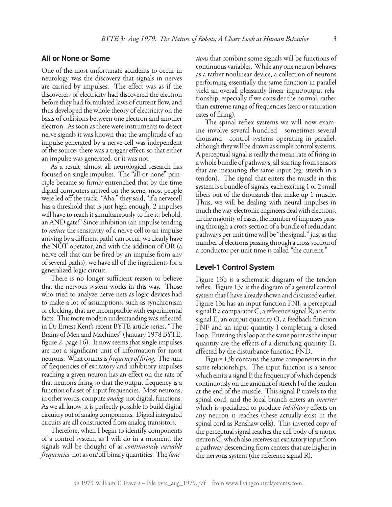#### **All or None or Some**

One of the most unfortunate accidents to occur in neurology was the discovery that signals in nerves are carried by impulses. The effect was as if the discoverers of electricity had discovered the electron before they had formulated laws of current flow, and thus developed the whole theory of electricity on the basis of collisions between one electron and another electron. As soon as there were instruments to detect nerve signals it was known that the amplitude of an impulse generated by a nerve cell was independent of the source; there was a trigger effect, so that either an impulse was generated, or it was not.

As a result, almost all neurological research has focused on single impulses. The "all-or-none" principle became so firmly entrenched that by the time digital computers arrived on the scene, most people were led off the track. "Aha," they said, "if a nervecell has a threshold that is just high enough, 2 impulses will have to reach it simultaneously to fire it: behold, an AND gate!" Since inhibition (an impulse tending to *reduce* the sensitivity of a nerve cell to an impulse arriving by a different path) can occur, we clearly have the NOT operator, and with the addition of OR (a nerve cell that can be fired by an impulse from any of several paths), we have all of the ingredients for a generalized logic circuit.

There is no longer sufficient reason to believe that the nervous system works in this way. Those who tried to analyze nerve nets as logic devices had to make a lot of assumptions, such as synchronism or clocking, that are incompatible with experimental facts. This more modern understanding was reflected in Dr Ernest Kent's recent BYTE article series, "The Brains of Men and Machines" (January 1978 BYTE, figure 2, page 16). It now seems that single impulses are not a significant unit of information for most neurons. What counts is *frequency of firing.* The sum of frequencies of excitatory and inhibitory impulses reaching a given neuron has an effect on the rate of that neuron's firing so that the output frequency is a function of a set of input frequencies. Most neurons, in other words, compute *analog,*not digital, functions. As we all know, it is perfectly possible to build digital circuitry out of analog components. Digital integrated circuits are all constructed from analog transistors.

Therefore, when I begin to identify components of a control system, as I will do in a moment, the signals will be thought of as *continuously variable frequencies,* not as on/off binary quantities. The *func-* *tions* that combine some signals will be functions of continuous variables. While any one neuron behaves as a rather nonlinear device, a collection of neurons performing essentially the same function in parallel yield an overall pleasantly linear input/output relationship, especially if we consider the normal, rather than extreme range of frequencies (zero or saturation rates of firing).

The spinal reflex systems we will now examine involve several hundred—sometimes several thousand—control systems operating in parallel, although they will be drawn as simple control systems. A perceptual signal is really the mean rate of firing in a whole bundle of pathways, all starting from sensors that are measuring the same input (eg: stretch in a tendon). The signal that enters the muscle in this system is a bundle of signals, each exciting 1 or 2 small fibers out of the thousands that make up 1 muscle. Thus, we will be dealing with neural impulses in much the way electronic engineers deal with electrons. In the majority of cases, the number of impulses passing through a cross-section of a bundle of redundant pathways per unit time will be "the signal," just as the number of electrons passing through a cross-section of a conductor per unit time is called "the current."

#### **Level-1 Control System**

Figure 13b is a schematic diagram of the tendon reflex. Figure 13a is the diagram of a general control system that I have already shown and discussed earlier. Figure 13a has an input function FNI, a perceptual signal P, a comparator C, a reference signal R, an error signal E, an output quantity O, a feedback function FNF and an input quantity I completing a closed loop. Entering this loop at the same point as the input quantity are the effects of a disturbing quantity D, affected by the disturbance function FND.

Figure 13b contains the same components in the same relationships. The input function is a sensor which emits a signal P, the frequency of which depends continuously on the amount of stretch I of the tendon at the end of the muscle. This signal P travels to the spinal cord, and the local branch enters an *inverter* which is specialized to produce *inhibitory* effects on any neuron it reaches (these actually exist in the spinal cord as Renshaw cells). This inverted copy of the perceptual signal reaches the cell body of a motor neuron C, which also receives an excitatory input from a pathway descending from centers that are higher in the nervous system (the reference signal R).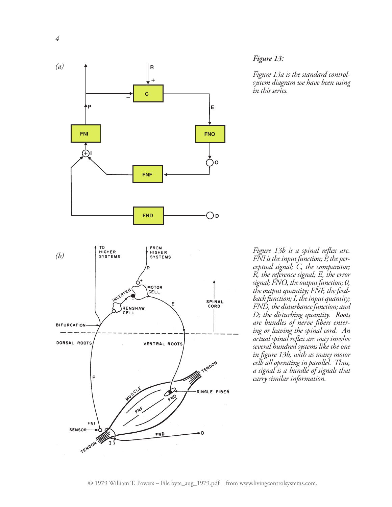

#### *Figure 13:*

*Figure 13a is the standard controlsystem diagram we have been using in this series.* 

*Figure 13b is a spinal reflex arc. FNIistheinputfunction; P,the per- ceptual signal; C, the comparator; R, the reference signal; E, the error signal;FNO,the outputfunction; 0, the output quantity; FNF, the feed- back function;I,theinput quantity; FND*, the disturbance function; and *D; the disturbing quantity. Roots are bundles of nerve fibers entering or leaving the spinal cord. An actual spinal reflex arc may involve several hundred systems like the one in figure 13b, with as many motor cells all operatingin parallel. Thus, a signal is a bundle of signals that carry similar information.*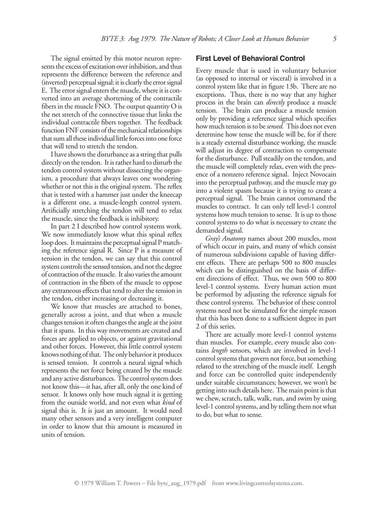The signal emitted by this motor neuron represents the excess of excitation over inhibition, and thus represents the difference between the reference and (inverted) perceptual signal: it is clearly the error signal E. The error signal enters the muscle, where it is converted into an average shortening of the contractile fibers in the muscle FNO. The output quantity  $O$  is the net stretch of the connective tissue that links the individual contractile fibers together. The feedback function FNF consists of the mechanical relationships that sum all these individual little forces into one force that will tend to stretch the tendon.

I have shown the disturbance as a string that pulls directly on the tendon. It is rather hard to disturb the tendon control system without dissecting the organism, a procedure that always leaves one wondering whether or not this is the original system. The reflex that is tested with a hammer just under the kneecap is a different one, a muscle-length control system. Artificially stretching the tendon will tend to relax the muscle, since the feedback is inhibitory.

In part 2 I described how control systems work. We now immediately know what this spinal reflex loop does. It maintains the perceptual signal P matching the reference signal R. Since P is a measure of tension in the tendon, we can say that this control system controls the sensed tension, and not the degree of contraction of the muscle. It also varies the amount of contraction in the fibers of the muscle to oppose any extraneous effects that tend to alter the tension in the tendon, either increasing or decreasing it.

We know that muscles are attached to bones, generally across a joint, and that when a muscle changes tension it often changes the angle at the joint that it spans. In this way movements are created and forces are applied to objects, or against gravitational and other forces. However, this little control system knows nothing of that. The only behavior it produces is sensed tension. It controls a neural signal which represents the net force being created by the muscle and any active disturbances. The control system does not know this—it has, after all, only the one kind of sensor. It knows only how much signal it is getting from the outside world, and not even what *kind* of signal this is. It is just an amount. It would need many other sensors and a very intelligent computer in order to know that this amount is measured in units of tension.

#### **First Level of Behavioral Control**

Every muscle that is used in voluntary behavior (as opposed to internal or visceral) is involved in a control system like that in figure 13b. There are no exceptions. Thus, there is no way that any higher process in the brain can *directly* produce a muscle tension. The brain can produce a muscle tension only by providing a reference signal which specifies how much tension is to be *sensed.* This does not even determine how tense the muscle will be, for if there is a steady external disturbance working, the muscle will adjust its degree of contraction to compensate for the disturbance. Pull steadily on the tendon, and the muscle will completely relax, even with the presence of a nonzero reference signal. Inject Novocain into the perceptual pathway, and the muscle may go into a violent spasm because it is trying to create a perceptual signal. The brain cannot command the muscles to contract. It can only tell level-1 control systems how much tension to sense. It is up to those control systems to do what is necessary to create the demanded signal.

*Gray's Anatomy* names about 200 muscles, most of which occur in pairs, and many of which consist of numerous subdivisions capable of having different effects. There are perhaps 500 to 800 muscles which can be distinguished on the basis of different directions of effect. Thus, we own 500 to 800 level-1 control systems. Every human action must be performed by adjusting the reference signals for these control systems. The behavior of these control systems need not be simulated for the simple reason that this has been done to a sufficient degree in part 2 of this series.

There are actually more level-1 control systems than muscles. For example, every muscle also contains *length* sensors, which are involved in level-1 control systems that govern not force, but something related to the stretching of the muscle itself. Length and force can be controlled quite independently under suitable circumstances; however, we won't be getting into such details here. The main point is that we chew, scratch, talk, walk, run, and swim by using level-1 control systems, and by telling them not what to do, but what to sense.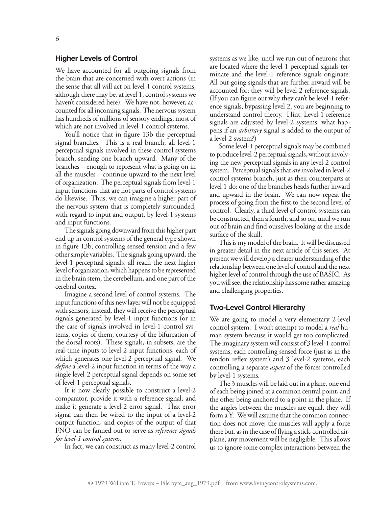#### **Higher Levels of Control**

We have accounted for all outgoing signals from the brain that are concerned with overt actions (in the sense that all will act on level-1 control systems, although there may be, at level 1, control systems we haven't considered here). We have not, however, accounted for all incoming signals. The nervous system has hundreds of millions of sensory endings, most of which are not involved in level-1 control systems.

You'll notice that in figure 13b the perceptual signal branches. This is a real branch; all level-1 perceptual signals involved in these control systems branch, sending one branch upward. Many of the branches—enough to represent what is going on in all the muscles—continue upward to the next level of organization. The perceptual signals from level-1 input functions that are not parts of control systems do likewise. Thus, we can imagine a higher part of the nervous system that is completely surrounded, with regard to input and output, by level-1 systems and input functions.

The signals going downward from this higher part end up in control systems of the general type shown in figure 13b, controlling sensed tension and a few other simple variables. The signals going upward, the level-1 perceptual signals, all reach the next higher level of organization, which happens to be represented in the brain stem, the cerebellum, and one part of the cerebral cortex.

Imagine a second level of control systems. The input functions of this new layer will not be equipped with sensors; instead, they will receive the perceptual signals generated by level-1 input functions (or in the case of signals involved in level-1 control systems, copies of them, courtesy of the bifurcation of the dorsal roots). These signals, in subsets, are the real-time inputs to level-2 input functions, each of which generates one level-2 perceptual signal. We *define* a level-2 input function in terms of the way a single level-2 perceptual signal depends on some set of level-1 perceptual signals.

It is now clearly possible to construct a level-2 comparator, provide it with a reference signal, and make it generate a level-2 error signal. That error signal can then be wired to the input of a level-2 output function, and copies of the output of that FNO can be fanned out to serve as *reference signals for level-1 control systems.*

In fact, we can construct as many level-2 control

systems as we like, until we run out of neurons that are located where the level-1 perceptual signals terminate and the level-1 reference signals originate. All out-going signals that are further inward will be accounted for; they will be level-2 reference signals. (If you can figure out why they can't be level-1 reference signals, bypassing level 2, you are beginning to understand control theory. Hint: Level-1 reference signals are adjusted by level-2 systems: what happens if an *arbitrary* signal is added to the output of a level-2 system?)

Some level-1 perceptual signals may be combined to produce level-2 perceptual signals, without involving the new perceptual signals in any level-2 control system. Perceptual signals that *are*involved in level-2 control systems branch, just as their counterparts at level 1 do: one of the branches heads further inward and upward in the brain. We can now repeat the process of going from the first to the second level of control. Clearly, a third level of control systems can be constructed, then a fourth, and so on, until we run out of brain and find ourselves looking at the inside surface of the skull.

This is my model of the brain. It will be discussed in greater detail in the next article of this series. At present we will develop a clearer understanding of the relationship between one level of control and the next higher level of control through the use of BASIC. As you will see, the relationship has some rather amazing and challenging properties.

#### **Two-Level Control Hierarchy**

We are going to model a very elementary 2-level control system. I won't attempt to model a *real* human system because it would get too complicated. The imaginary system will consist of 3 level-1 control systems, each controlling sensed force (just as in the tendon reflex system) and 3 level-2 systems, each controlling a separate *aspect* of the forces controlled by level-1 systems.

The 3 muscles will be laid out in a plane, one end of each being joined at a common central point, and the other being anchored to a point in the plane. If the angles between the muscles are equal, they will form a Y. We will assume that the common connection does not move; the muscles will apply a force there but, as in the case of flying a stick-controlled airplane, any movement will be negligible. This allows us to ignore some complex interactions between the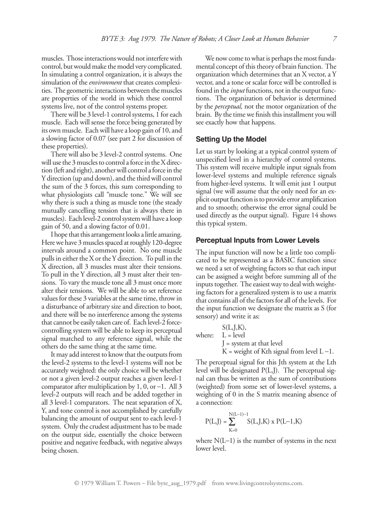muscles. Those interactions would not interfere with control, but would make the model very complicated. In simulating a control organization, it is always the simulation of the *environment* that creates complexities. The geometric interactions between the muscles are properties of the world in which these control systems live, not of the control systems proper.

There will be 3 level-1 control systems, 1 for each muscle. Each will sense the force being generated by its own muscle. Each will have a loop gain of 10, and a slowing factor of 0.07 (see part 2 for discussion of these properties).

There will also be 3 level-2 control systems. One will use the 3 muscles to control a force in the X direction (left and right), another will control a force in the Y direction (up and down), and the third will control the sum of the 3 forces, this sum corresponding to what physiologists call "muscle tone." We will see why there is such a thing as muscle tone (the steady mutually cancelling tension that is always there in muscles). Each level-2 control system will have a loop gain of 50, and a slowing factor of 0.01.

I hope that this arrangement looks a little amazing. Here we have 3 muscles spaced at roughly 120-degree intervals around a common point. No one muscle pulls in either the X or the Y direction. To pull in the X direction, all 3 muscles must alter their tensions. To pull in the Y direction, all 3 must alter their tensions. To vary the muscle tone all 3 must once more alter their tensions. We will be able to set reference values for these 3 variables at the same time, throw in a disturbance of arbitrary size and direction to boot, and there will be no interference among the systems that cannot be easily taken care of. Each level-2 forcecontrolling system will be able to keep its perceptual signal matched to any reference signal, while the others do the same thing at the same time.

It may add interest to know that the outputs from the level-2 systems to the level-1 systems will not be accurately weighted: the only choice will be whether or not a given level-2 output reaches a given level-1 comparator after multiplication by  $1, 0$ , or  $-1$ . All 3 level-2 outputs will reach and be added together in all 3 level-1 comparators. The neat separation of X, Y, and tone control is not accomplished by carefully balancing the amount of output sent to each level-1 system. Only the crudest adjustment has to be made on the output side, essentially the choice between positive and negative feedback, with negative always being chosen.

We now come to what is perhaps the most fundamental concept of this theory of brain function. The organization which determines that an X vector, a Y vector, and a tone or scalar force will be controlled is found in the *input* functions, not in the output functions. The organization of behavior is determined by the *perceptual,* not the motor organization of the brain. By the time we finish this installment you will see exactly how that happens.

#### **Setting Up the Model**

Let us start by looking at a typical control system of unspecified level in a hierarchy of control systems. This system will receive multiple input signals from lower-level systems and multiple reference signals from higher-level systems. It will emit just 1 output signal (we will assume that the only need for an explicit output function is to provide error amplification and to smooth; otherwise the error signal could be used directly as the output signal). Figure 14 shows this typical system.

#### **Perceptual Inputs from Lower Levels**

The input function will now be a little too complicated to be represented as a BASIC function since we need a set of weighting factors so that each input can be assigned a weight before summing all of the inputs together. The easiest way to deal with weighting factors for a generalized system is to use a matrix that contains all of the factors for all of the levels. For the input function we designate the matrix as S (for sensory) and write it as:

 $S(L, J, K),$ where:  $L = level$  $J =$  system at that level  $K$  = weight of Kth signal from level  $L - 1$ .

The perceptual signal for this Jth system at the Lth level will be designated P(L,J). The perceptual signal can thus be written as the sum of contributions (weighted) from some set of lower-level systems, a weighting of 0 in the S matrix meaning absence of a connection:

$$
P(L,J) = \sum_{K=0}^{N(L-1)-1} S(L,J,K) \ge P(L-1,K)
$$

where  $N(L-1)$  is the number of systems in the next lower level.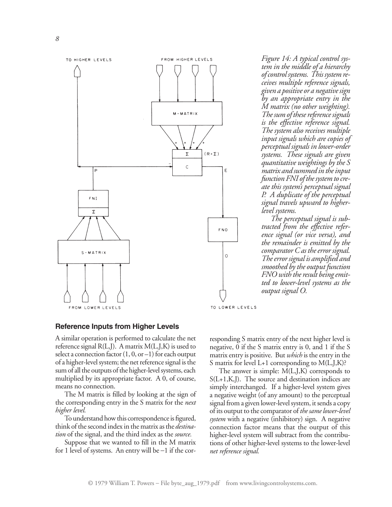

*Figure 14: A typical control system in the middle of a hierarchy ofcontrol systems. This systemreceives multiple reference signals, given a positive or a negativesign by an appropriate entry in the M matrix (no other weighting). The sum of these reference signals is the effective reference signal. The system also receives multiple input signals which are copies of perceptual signals in lower-order systems. These signals are given quantitative weightings by the S matrix and summed in theinput function FNI* of the system to cre*ate this system's perceptual signal P. A duplicate of the perceptual signal travels upward to higherlevel systems.*

*The perceptual signal is subtracted from the effective reference signal (or vice versa), and the remainder is emitted by the comparator C as the error signal. The error signal is amplified and smoothed bythe output function FNO* with the result being emit*ted to lower-level systems as the output signal O.*

#### **Reference Inputs from Higher Levels**

A similar operation is performed to calculate the net reference signal  $R(L,J)$ . A matrix  $M(L,J,K)$  is used to select a connection factor  $(1, 0, or -1)$  for each output of a higher-level system; the net reference signal is the sum of all the outputs of the higher-level systems, each multiplied by its appropriate factor. A 0, of course, means no connection.

The M matrix is filled by looking at the sign of the corresponding entry in the S matrix for the *next higher level.*

To understand how this correspondence is figured, think of the second index in the matrix as the *destination* of the signal, and the third index as the *source.*

Suppose that we wanted to fill in the M matrix for 1 level of systems. An entry will be –1 if the corresponding S matrix entry of the next higher level is negative, 0 if the S matrix entry is 0, and 1 if the S matrix entry is positive. But *which* is the entry in the S matrix for level  $L+1$  corresponding to  $M(L,J,K)$ ?

The answer is simple: M(L,J,K) corresponds to  $S(L+1,K,J)$ . The source and destination indices are simply interchanged. If a higher-level system gives a negative weight (of any amount) to the perceptual signal from a given lower-level system, it sends a copy of its output to the comparator of *the same lower-level system* with a negative (inhibitory) sign. A negative connection factor means that the output of this higher-level system will subtract from the contributions of other higher-level systems to the lower-level *net reference signal.*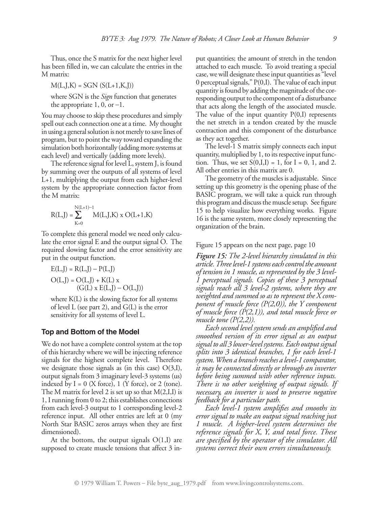Thus, once the S matrix for the next higher level has been filled in, we can calculate the entries in the M matrix:

 $M(L,J,K) = SGN (S(L+1,K,J))$ 

where SGN is the *Sign* function that generates the appropriate  $1, 0,$  or  $-1$ .

You may choose to skip these procedures and simply spell out each connection one at a time. My thought in using a general solution is not merely to save lines of program, but to point the way toward expanding the simulation both horizontally (adding more systems at each level) and vertically (adding more levels).

The reference signal for level L, system J, is found by summing over the outputs of all systems of level L+1, multiplying the output from each higher-level system by the appropriate connection factor from the M matrix:

$$
R(L,J)=\sum_{K=0}^{N(L+1)-1}M(L,J,K)\ge O(L+1,K)
$$

To complete this general model we need only calculate the error signal E and the output signal O. The required slowing factor and the error sensitivity are put in the output function.

$$
E(L,J) = R(L,J) - P(L,J)
$$
  
\n
$$
O(L,J) = O(L,J) + K(L) x
$$
  
\n
$$
(G(L) x E(L,J) - O(L,J))
$$

where K(L) is the slowing factor for all systems of level L (see part 2), and G(L) is the error sensitivity for all systems of level L.

#### **Top and Bottom of the Model**

We do not have a complete control system at the top of this hierarchy where we will be injecting reference signals for the highest complete level. Therefore we designate those signals as (in this case)  $O(3,I)$ , output signals from 3 imaginary level-3 systems (us) indexed by  $I = 0$  (X force), 1 (Y force), or 2 (tone). The M matrix for level 2 is set up so that M(2,I,I) is 1, I running from 0 to 2; this establishes connections from each level-3 output to 1 corresponding level-2 reference input. All other entries are left at 0 (my North Star BASIC zeros arrays when they are first dimensioned).

At the bottom, the output signals  $O(1,I)$  are supposed to create muscle tensions that affect 3 input quantities; the amount of stretch in the tendon attached to each muscle. To avoid treating a special case, we will designate these input quantities as "level 0 perceptual signals,"  $P(0,I)$ . The value of each input quantity is found by adding the magnitude of the corresponding output to the component of a disturbance that acts along the length of the associated muscle. The value of the input quantity  $P(0,I)$  represents the net stretch in a tendon created by the muscle contraction and this component of the disturbance as they act together.

The level-1 S matrix simply connects each input quantity, multiplied by 1, to its respective input function. Thus, we set  $S(0,I,I) = 1$ , for  $I = 0, 1$ , and 2. All other entries in this matrix are 0.

The geometry of the muscles is adjustable. Since setting up this geometry is the opening phase of the BASIC program, we will take a quick run through this program and discuss the muscle setup. See figure 15 to help visualize how everything works. Figure 16 is the same system, more closely representing the organization of the brain.

Figure 15 appears on the next page, page 10

*Figure 15: The 2-level hierarchy simulated in this article.Threelevel-1 systemseach controlthe amount of tension in 1 muscle, as represented by the 3 level- 1 perceptual signals. Copies of these 3 perceptual signals reach all 3 level-2 systems, where they are weighted and summed so as to represent the X component of muscle force (P(2,0)), the Y component of muscle force (P(2,1)), and total muscle force or muscle tone (P(2,2)).*

*Each second level system sends an amplified and smoothed version of its error signal as an output signal to all 3 lower-level systems. Each output signal splits into 3 identical branches, 1 for each level-1 system.When a branch reaches a level-1 comparator, it may be connected directly or through an inverter before being summed with other reference inputs. There is no other weighting of output signals. If necessary, an inverter is used to preserve negative feedback for a particular path.*

*Each level-1 system amplifies and smooths its error signal to make an output signal reaching just 1 muscle. A higher-level system determines the reference signals for X, Y, and total force. These are specified by the operator of the simulator. All systems correct their own errors simultaneously.*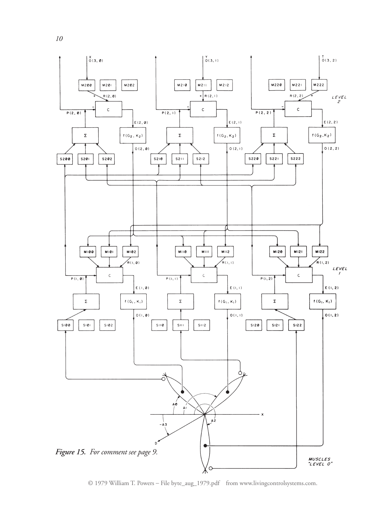

© 1979 William T. Powers – File byte\_aug\_1979.pdf from www.livingcontrolsystems.com.

*10*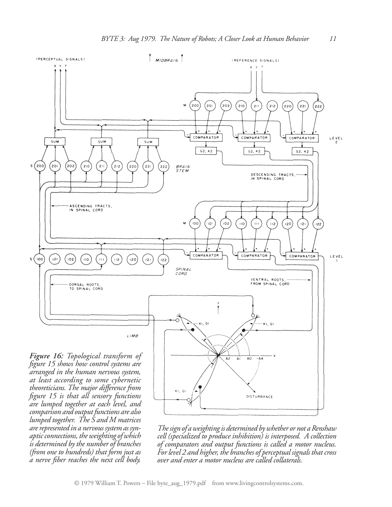

*Thesign of aweightingis determined bywhether or not aRenshaw cell (specialized to produce inhibition) is interposed. A collection of comparators and output functions is called a motor nucleus. Forlevel 2 and higher, the branches of perceptual signals thatcross over and enter a motor nucleus are called collaterals.*

*comparison and output functions are also lumped together. The S and M matrices are represented in a nervous system as synapticconnections, theweighting ofwhich is determined bythe number of branches (from one to hundreds) that form just as a nerve fiber reaches the next cell body.*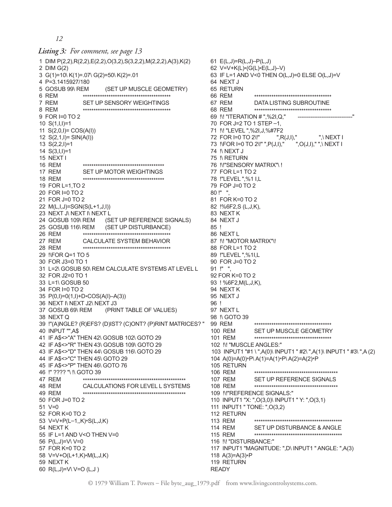*12*

#### *Listing 3: For comment, see page 13*

1 DIM P(2,2),R(2,2),E(2,2),O(3,2),S(3,2,2),M(2,2,2),A(3),K(2) 2 DIM G(2) 3 G(1)=10\ K(1)=.07\ G(2)=50\ K(2)=.01 4 P=3.1415927/180 5 GOSUB 99\ REM (SET UP MUSCLE GEOMETRY) 6 REM \*\*\*\*\*\*\*\*\*\*\*\*\*\*\*\*\*\*\*\*\*\*\*\*\*\*\*\*\*\*\*\*\*\*\*\*\*\*\*\*\* 7 REM SET UP SENSORY WEIGHTINGS 8 REM \*\*\*\*\*\*\*\*\*\*\*\*\*\*\*\*\*\*\*\*\*\*\*\*\*\*\*\*\*\*\*\*\*\*\*\*\*\*\*\*\* 9 FOR I=0 TO 2 10 S(1,I,I)=1 11 S(2,0,I)= COS(A(I)) 12 S(2,1,I)= SIN(A(I)) 13 S(2,2,I)=1 14 S(3,I,I)=1 15 NEXT I 16 REM \*\*\*\*\*\*\*\*\*\*\*\*\*\*\*\*\*\*\*\*\*\*\*\*\*\*\*\*\*\*\*\*\*\*\*\*\*\* 17 REM SET UP MOTOR WEIGHTINGS 18 REM \*\*\*\*\*\*\*\*\*\*\*\*\*\*\*\*\*\*\*\*\*\*\*\*\*\*\*\*\*\*\*\*\*\*\*\*\*\* 19 FOR L=1,TO 2 20 FOR I=0 TO 2 21 FOR J=0 TO 2 22 M(L,I,J)=SGN(S(L+1,J,I)) 23 NEXT J\ NEXT I\ NEXT L 24 GOSUB 109\ REM (SET UP REFERENCE SIGNALS) 25 GOSUB 116\ REM (SET UP DISTURBANCE) 26 REM \*\*\*\*\*\*\*\*\*\*\*\*\*\*\*\*\*\*\*\*\*\*\*\*\*\*\*\*\*\*\*\*\*\*\*\*\*\*\*\*\* 27 REM CALCULATE SYSTEM BEHAVIOR 28 REM \*\*\*\*\*\*\*\*\*\*\*\*\*\*\*\*\*\*\*\*\*\*\*\*\*\*\*\*\*\*\*\*\*\*\*\*\*\*\*\*\* 29 !\FOR Q=1 TO 5 30 FOR J3=0 TO 1 31 L=2\ GOSUB 50\ REM CALCULATE SYSTEMS AT LEVEL L 32 FOR J2=0 TO 1 33 L=1\ GOSUB 50 34 FOR I=0 TO 2 35 P(0,I)=0(1,I)+D\*COS(A(I)–A(3)) 36 NEXT I\ NEXT J2\ NEXT J3 37 GOSUB 69\ REM (PRINT TABLE OF VALUES) 38 NEXT Q 39 !"(A)NGLE? (R)EFS? (D)IST? (C)ONT? (P)RINT MATRICES? " 40 INPUT "",A\$ 41 IF A\$<>"A" THEN 42\ GOSUB 102\ GOTO 29 42 IF A\$<>"R" THEN 43\ GOSUB 109\ GOTO 29 43 IF A\$<>"D" THEN 44\ GOSUB 116\ GOTO 29 44 IF A\$<>"C" THEN 45\ GOTO 29 45 IF A\$<>"P" THEN 46\ GOTO 76 46 !" ???? "\ !\ GOTO 39 47 REM \*\*\*\*\*\*\*\*\*\*\*\*\*\*\*\*\*\*\*\*\*\*\*\*\*\*\*\*\*\*\*\*\*\*\*\*\*\*\*\*\*\*\*\*\*\*\*\* 48 REM CALCULATIONS FOR LEVEL L SYSTEMS 49 REM \*\*\*\*\*\*\*\*\*\*\*\*\*\*\*\*\*\*\*\*\*\*\*\*\*\*\*\*\*\*\*\*\*\*\*\*\*\*\*\*\*\*\*\*\*\*\*\* 50 FOR J=0 TO 2 51 V=0 52 FOR K=0 TO 2 53 V=V+P(L–1,,K)\*S(L,J,K) 54 NEXT K 55 IF L=1 AND V<O THEN V=0 56 P(L,J)=V\ V=0 57 FOR K=0 TO 2 58 V=V+O(L+1,K)\*M(L,J,K) 59 NEXT K 60 R(L,J)=V\ V=O (L,J )

61 E(L,J)=R(L,J)–P(L,J) 62 V=V+K(L)\*(G(L)\*E(L,J)–V) 63 IF L=1 AND V<0 THEN O(L,J)=0 ELSE O(L,J)=V 64 NEXT J 65 RETURN 66 REM \*\*\*\*\*\*\*\*\*\*\*\*\*\*\*\*\*\*\*\*\*\*\*\*\*\*\*\*\*\*\*\*\*\*\*\* 67 REM DATA LISTING SUBROUTINE 68 REM \*\*\*\*\*\*\*\*\*\*\*\*\*\*\*\*\*\*\*\*\*\*\*\*\*\*\*\*\*\*\*\*\*\*\*\* 69 !\! "ITERATION # ",%2I,Q," ------------------------------" 70 FOR J=2 TO 1 STEP –1, 71 !\! "LEVEL ",%2I,J,%#7F2 72 FOR I=0 TO 2\!" ",R(J,I)," ",\ NEXT I 73 !\FOR I=0 TO 2\!" ",P(J,I)," ",O(J,I)," ",\ NEXT I 74 !\ NEXT J 75 !\ RETURN 76 !\!"SENSORY MATRIX"\ ! 77 FOR L=1 TO 2 78 !"LEVEL ",%1 I,L 79 FOP J=0 TO 2 80 !" ", 81 FOR K=0 TO 2 82 !%6F2,S (L,J,K), 83 NEXT K 84 NEXT J 85 ! 86 NEXT L 87 !\! "MOTOR MATRIX"\! 88 FOR L=1 TO 2 89 !"LEVEL ",%1I,L 90 FOR J=0 TO 2 91 !" " 92 FOR K=0 TO 2 93 ! %6F2,M(L,J,K), 94 NEXT K 95 NEXT J 96 ! 97 NEXT L 98 !\ GOTO 39 99 REM \*\*\*\*\*\*\*\*\*\*\*\*\*\*\*\*\*\*\*\*\*\*\*\*\*\*\*\*\*\*\*\*\*\*\*\* 100 REM SET UP MUSCLE GEOMETRY 101 REM \*\*\*\*\*\*\*\*\*\*\*\*\*\*\*\*\*\*\*\*\*\*\*\*\*\*\*\*\*\*\*\*\*\*\*\* 102 !\! "MUSCLE ANGLES:" 103 INPUT1 "#1 \ ",A(0)\ INPUT1 " #2\ ",A(1)\ INPUT1 " #3\ ",A (2) 104 A(0)=A(0)\*P\ A(1)=A(1)\*P\ A(2)=A(2)\*P 105 RETURN 106 REM \*\*\*\*\*\*\*\*\*\*\*\*\*\*\*\*\*\*\*\*\*\*\*\*\*\*\*\*\*\*\*\*\*\*\*\*\*\*\* 107 REM SET UP REFERENCE SIGNALS 108 REM \*\*\*\*\*\*\*\*\*\*\*\*\*\*\*\*\*\*\*\*\*\*\*\*\*\*\*\*\*\*\*\*\*\*\*\*\*\*\* 109 !\!"REFERENCE SIGNALS:" 110 INPUT1 "X: ",O(3,0)\ INPUT1 " Y: ",O(3,1) 111 INPUT1 " TONE: ",O(3,2) 112 RETURN 113 REM \*\*\*\*\*\*\*\*\*\*\*\*\*\*\*\*\*\*\*\*\*\*\*\*\*\*\*\*\*\*\*\*\*\*\*\*\*\*\*\*\* 114 REM SET UP DISTURBANCE & ANGLE 115 REM \*\*\*\*\*\*\*\*\*\*\*\*\*\*\*\*\*\*\*\*\*\*\*\*\*\*\*\*\*\*\*\*\*\*\*\*\*\*\*\*\* 116 !\! "DISTURBANCE:" 117 INPUT1 "MAGNITUDE: ",D\ INPUT1 " ANGLE: ",A(3) 118 A(3)=A(3)\*P 119 RETURN

READY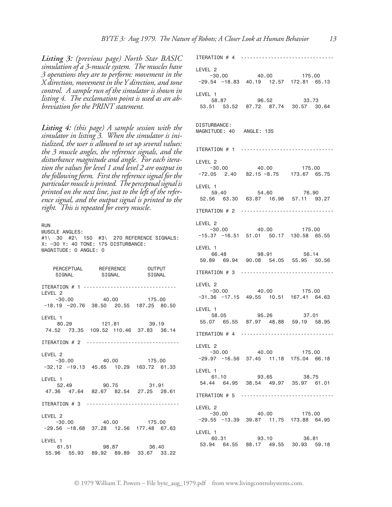*Listing 3: (previous page) North Star BASIC simulation of a 3-muscle system. The muscles have 3 operations they are to perform: movement in the X direction, movement in theY direction, and tone control. A sample run of the simulator is shown in listing 4. The exclamation point is used as an abbreviation for the PRINT statement.*

*Listing 4: (this page) A sample session with the simulator in listing 3. When the simulator is initialized, the user is allowed to set up several values: the 3 muscle angles, the reference signals, and the disturbance magnitude and angle. For each iteration the values for level 1 and level 2 are output in the followingform. First the reference signal for the particularmuscleis printed. The perceptual signal is printed on the next line, just to the left of the reference signal, and the output signal is printed to the right. This is repeated for every muscle.*

RUN MUSCLE ANGLES: #1\ 30 #2\ 150 #3\ 270 REFERENCE SIGNALS: X: –30 Y: 40 TONE: 175 DISTURBANCE: MAGNITUDE: 0 ANGLE: 0

 PERCEPTUAL REFERENCE OUTPUT SIGNAL SIGNAL SIGNAL ITERATION # 1 ------------------------------- LEVEL 2 −30.00 40.00 175.00 −18.19 –20.76 38.50 20.55 187.25 80.50 LEVEL 1<br>80.29 80.29 121.81 39.19 74.52 73.35 109.52 110.46 37.83 36.14 ITERATION # 2 ------------------------------- LEVEL 2 −30.00 40.00 175.00 −32.12 –19.13 45.65 10.29 163.72 61.33 LEVEL 1 - .<br>52.49 90.75 31.91 47.36 47.64 82.67 82.54 27.25 28.61 ITERATION # 3 ------------------------------- LEVEL 2 −30.00 40.00 175.00 −29.56 –18.68 37.28 12.56 177.48 67.63 LEVEL 1 61.51 98.87 36.40 55.96 55.93 89.92 89.89 33.67 33.22

ITERATION # 4 ------------------------------- LEVEL 2 −30.00 40.00 175.00 −29.54 –18.83 40.19 12.57 172.81 65.13 LEVEL 1 58.87 96.52 33.73 53.51 53.52 87.72 87.74 30.57 30.64 DISTURBANCE: MAGNITUDE: 40 ANGLE: 135 ITERATION # 1 ------------------------------- LEVEL 2 −30.00 40.00 175.00 −72.05 2.40 82.15 –8.75 173.67 65.75 LEVEL 1 59.40 54.60 76.90 52.56 63.30 63.87 16.98 57.11 93.27 ITERATION # 2 ------------------------------- LEVEL 2 −30.00 40.00 175.00 −15.37 −16.51 51.01 50.17 130.58 65.55 LEVEL 1 66.48 98.91 56.14 59.89 69.94 90.08 54.05 55.95 50.56 ITERATION # 3 ------------------------------- LEVEL 2 −30.00 40.00 175.00 −31.36 −17.15 49.55 10.51 167.41 64.63 LEVEL 1 58.05 95.26 37.01 55.07 65.55 87.97 48.88 59.19 58.95 ITERATION # 4 ------------------------------- LEVEL 2 −30.00 40.00 175.00 −29.97 −16.56 37.45 11.18 175.04 66.18 LEVEL 1 61.10 93.65 38.75 54.44 64.95 38.54 49.97 35.97 61.01 ITERATION # 5 ------------------------------- LEVEL 2  $-30.00$  40.00 175.00 −29.55 −13.39 39.87 11.75 173.88 64.95 LEVEL 1 60.31 93.10 36.81 53.94 64.55 88.17 49.55 30.93 59.18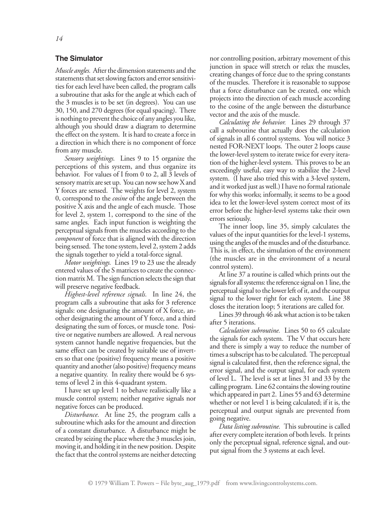#### **The Simulator**

*Muscle angles.* After the dimension statements and the statements that set slowing factors and error sensitivities for each level have been called, the program calls a subroutine that asks for the angle at which each of the 3 muscles is to be set (in degrees). You can use 30, 150, and 270 degrees (for equal spacing). There is nothing to prevent the choice of any angles you like, although you should draw a diagram to determine the effect on the system. It is hard to create a force in a direction in which there is no component of force from any muscle.

*Sensory weightings.* Lines 9 to 15 organize the perceptions of this system, and thus organize its behavior. For values of I from 0 to 2, all 3 levels of sensory matrix are set up. You can now see how X and Y forces are sensed. The weights for level 2, system 0, correspond to the *cosine* of the angle between the positive X axis and the angle of each muscle. Those for level 2, system 1, correspond to the sine of the same angles. Each input function is weighting the perceptual signals from the muscles according to the *component* of force that is aligned with the direction being sensed. The tone system, level 2, system 2 adds the signals together to yield a total-force signal.

*Motor weightings.* Lines 19 to 23 use the already entered values of the S matrices to create the connection matrix M. The sign function selects the sign that will preserve negative feedback.

*Highest-level reference signals.* In line 24, the program calls a subroutine that asks for 3 reference signals: one designating the amount of X force, another designating the amount of Y force, and a third designating the sum of forces, or muscle tone. Positive or negative numbers are allowed. A real nervous system cannot handle negative frequencies, but the same effect can be created by suitable use of inverters so that one (positive) frequency means a positive quantity and another (also positive) frequency means a negative quantity. In reality there would be 6 systems of level 2 in this 4-quadrant system.

I have set up level 1 to behave realistically like a muscle control system; neither negative signals nor negative forces can be produced.

*Disturbance.* At line 25, the program calls a subroutine which asks for the amount and direction of a constant disturbance. A disturbance might be created by seizing the place where the 3 muscles join, moving it, and holding it in the new position. Despite the fact that the control systems are neither detecting nor controlling position, arbitrary movement of this junction in space will stretch or relax the muscles, creating changes of force due to the spring constants of the muscles. Therefore it is reasonable to suppose that a force disturbance can be created, one which projects into the direction of each muscle according to the cosine of the angle between the disturbance vector and the axis of the muscle.

*Calculating the behavior.* Lines 29 through 37 call a subroutine that actually does the calculation of signals in all 6 control systems. You will notice 3 nested FOR-NEXT loops. The outer 2 loops cause the lower-level system to iterate twice for every iteration of the higher-level system. This proves to be an exceedingly useful, easy way to stabilize the 2-level system. (I have also tried this with a 3-level system, and it worked just as well.) I have no formal rationale for why this works; informally, it seems to be a good idea to let the lower-level system correct most of its error before the higher-level systems take their own errors seriously.

The inner loop, line 35, simply calculates the values of the input quantities for the level-1 systems, using the angles of the muscles and of the disturbance. This is, in effect, the simulation of the environment (the muscles are in the environment of a neural control system).

At line 37 a routine is called which prints out the signals for all systems: the reference signal on 1 line, the perceptual signal to the lower left of it, and the output signal to the lower right for each system. Line 38 closes the iteration loop; 5 iterations are called for.

Lines 39 through 46 ask what action is to be taken after 5 iterations.

*Calculation subroutine.* Lines 50 to 65 calculate the signals for each system. The V that occurs here and there is simply a way to reduce the number of times a subscript has to be calculated. The perceptual signal is calculated first, then the reference signal, the error signal, and the output signal, for each system of level L. The level is set at lines 31 and 33 by the calling program. Line 62 contains the slowing routine which appeared in part 2. Lines 55 and 63 determine whether or not level 1 is being calculated; if it is, the perceptual and output signals are prevented from going negative.

*Data listing subroutine.* This subroutine is called after every complete iteration of both levels. It prints only the perceptual signal, reference signal, and output signal from the 3 systems at each level.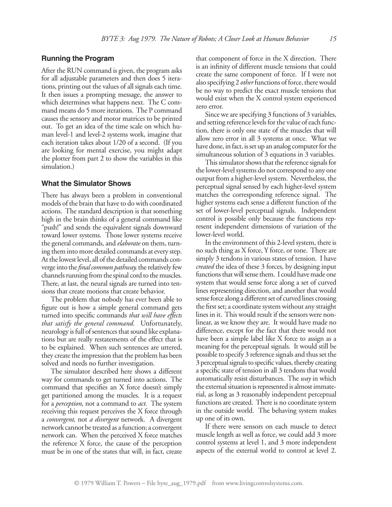#### **Running the Program**

After the RUN command is given, the program asks for all adjustable parameters and then does 5 iterations, printing out the values of all signals each time. It then issues a prompting message, the answer to which determines what happens next. The C command means do 5 more iterations. The P command causes the sensory and motor matrices to be printed out. To get an idea of the time scale on which human level-1 and level-2 systems work, imagine that each iteration takes about 1/20 of a second. (If you are looking for mental exercise, you might adapt the plotter from part 2 to show the variables in this simulation.)

#### **What the Simulator Shows**

There has always been a problem in conventional models of the brain that have to do with coordinated actions. The standard description is that something high in the brain thinks of a general command like "push!" and sends the equivalent signals downward toward lower systems. Those lower systems receive the general commands, and *elaborate* on them, turning them into more detailed commands at every step. At the lowest level, all of the detailed commands converge into the *final common pathway*, the relatively few channels running from the spinal cord to the muscles. There, at last, the neural signals are turned into tensions that create motions that create behavior.

The problem that nobody has ever been able to figure out is how a simple general command gets turned into specific commands *that will have effects that satisfy the general command.* Unfortunately, neurology is full of sentences that sound like explanations but are really restatements of the effect that is to be explained. When such sentences are uttered, they create the impression that the problem has been solved and needs no further investigation.

The simulator described here shows a different way for commands to get turned into actions. The command that specifies an X force doesn't simply get partitioned among the muscles. It is a request for a *perception,* not a command to *act.* The system receiving this request perceives the X force through a *convergent,* not *a divergent* network. A divergent network cannot be treated as a function; a convergent network can. When the perceived X force matches the reference X force, the cause of the perception must be in one of the states that will, in fact, create that component of force in the X direction. There is an infinity of different muscle tensions that could create the same component of force. If I were not also specifying 2 *other*functions of force, there would be no way to predict the exact muscle tensions that would exist when the X control system experienced zero error.

Since we are specifying 3 functions of 3 variables, and setting reference levels for the value of each function, there is only one state of the muscles that will allow zero error in all 3 systems at once. What we have done, in fact, is set up an analog computer for the simultaneous solution of 3 equations in 3 variables.

This simulator shows that the reference signals for the lower-level systems do not correspond to any one output from a higher-level system. Nevertheless, the perceptual signal sensed by each higher-level system matches the corresponding reference signal. The higher systems each sense a different function of the set of lower-level perceptual signals. Independent control is possible only because the functions represent independent dimensions of variation of the lower-level world.

In the environment of this 2-level system, there is no such thing as X force, Y force, or tone. There are simply 3 tendons in various states of tension. I have *created* the idea of these 3 forces, by designing input functions that will sense them. I could have made one system that would sense force along a set of curved lines representing direction, and another that would sense force along a different set of curved lines crossing the first set; a coordinate system without any straight lines in it. This would result if the sensors were nonlinear, as we know they are. It would have made no difference, except for the fact that there would not have been a simple label like X force to assign as a meaning for the perceptual signals. It would still be possible to specify 3 reference signals and thus set the 3 perceptual signals to specific values, thereby creating a specific state of tension in all 3 tendons that would automatically resist disturbances. The *way* in which the external situation is represented is almost immaterial, as long as 3 reasonably independent perceptual functions are created. There is no coordinate system in the outside world. The behaving system makes up one of its own.

If there were sensors on each muscle to detect muscle length as well as force, we could add 3 more control systems at level 1, and 3 more independent aspects of the external world to control at level 2.